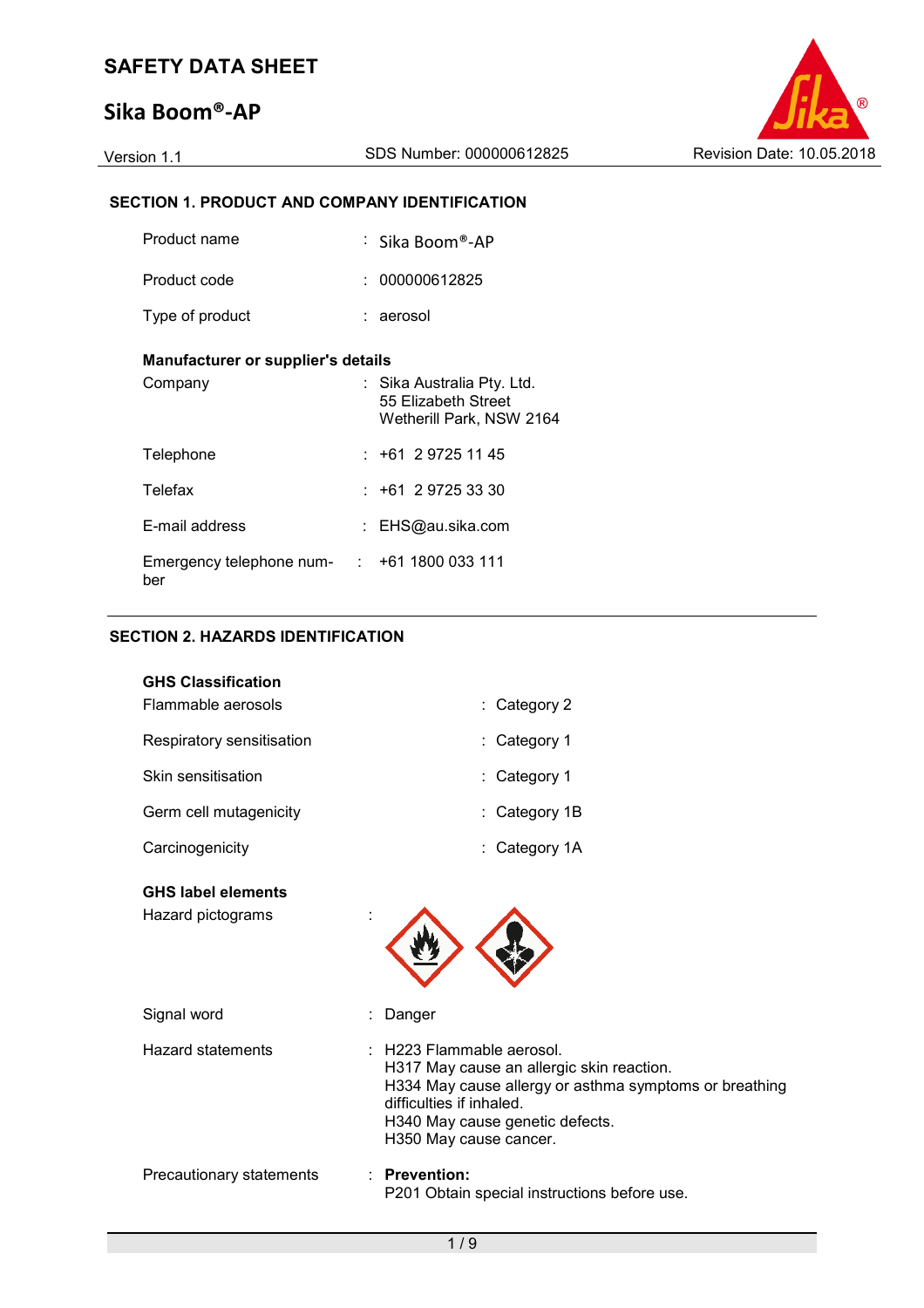## **Sika Boom®-AP**



### **SECTION 1. PRODUCT AND COMPANY IDENTIFICATION**

| Product name                                             | $\,$ : $\,$ Sika Boom®-AP                                                     |
|----------------------------------------------------------|-------------------------------------------------------------------------------|
| Product code                                             | : 000000612825                                                                |
| Type of product                                          | : aerosol                                                                     |
| Manufacturer or supplier's details                       |                                                                               |
| Company                                                  | : Sika Australia Pty. Ltd.<br>55 Elizabeth Street<br>Wetherill Park, NSW 2164 |
| Telephone                                                | : +61 2 9725 11 45                                                            |
| Telefax                                                  | $: +61 \ 2 \ 9725 \ 33 \ 30$                                                  |
| E-mail address                                           | : EHS@au.sika.com                                                             |
| Emergency telephone num- $\cdot$ +61 1800 033 111<br>ber |                                                                               |

#### **SECTION 2. HAZARDS IDENTIFICATION**

| <b>GHS Classification</b><br>Flammable aerosols | : Category 2                                                                                                                                                                                                              |
|-------------------------------------------------|---------------------------------------------------------------------------------------------------------------------------------------------------------------------------------------------------------------------------|
| Respiratory sensitisation                       | : Category 1                                                                                                                                                                                                              |
| Skin sensitisation                              | Category 1                                                                                                                                                                                                                |
| Germ cell mutagenicity                          | Category 1B                                                                                                                                                                                                               |
| Carcinogenicity                                 | Category 1A                                                                                                                                                                                                               |
| <b>GHS label elements</b><br>Hazard pictograms  |                                                                                                                                                                                                                           |
| Signal word                                     | Danger                                                                                                                                                                                                                    |
| <b>Hazard statements</b>                        | : H223 Flammable aerosol.<br>H317 May cause an allergic skin reaction.<br>H334 May cause allergy or asthma symptoms or breathing<br>difficulties if inhaled.<br>H340 May cause genetic defects.<br>H350 May cause cancer. |
| Precautionary statements                        | $:$ Prevention:<br>P201 Obtain special instructions before use.                                                                                                                                                           |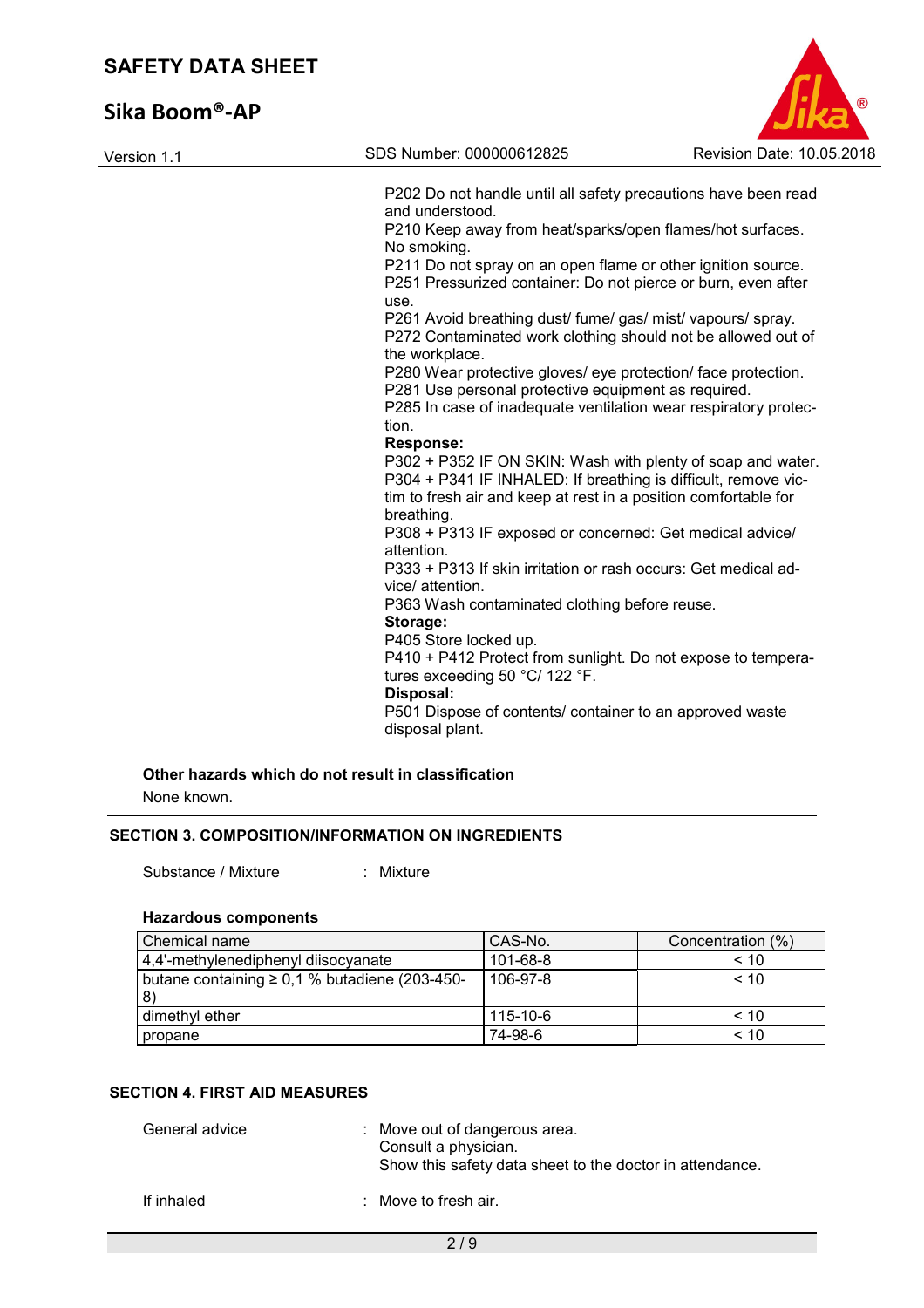# **Sika Boom®-AP**

| Version 1.1 | SDS Number: 000000612825                                        | Revision Date: 10.05.2018 |
|-------------|-----------------------------------------------------------------|---------------------------|
|             | P202 Do not handle until all safety precautions have been read  |                           |
|             | and understood.                                                 |                           |
|             | P210 Keep away from heat/sparks/open flames/hot surfaces.       |                           |
|             | No smoking.                                                     |                           |
|             | P211 Do not spray on an open flame or other ignition source.    |                           |
|             | P251 Pressurized container: Do not pierce or burn, even after   |                           |
|             | use.                                                            |                           |
|             | P261 Avoid breathing dust/ fume/ gas/ mist/ vapours/ spray.     |                           |
|             | P272 Contaminated work clothing should not be allowed out of    |                           |
|             | the workplace.                                                  |                           |
|             | P280 Wear protective gloves/ eye protection/ face protection.   |                           |
|             | P281 Use personal protective equipment as required.             |                           |
|             | P285 In case of inadequate ventilation wear respiratory protec- |                           |
|             | tion.                                                           |                           |
|             | <b>Response:</b>                                                |                           |
|             | P302 + P352 IF ON SKIN: Wash with plenty of soap and water.     |                           |
|             | P304 + P341 IF INHALED: If breathing is difficult, remove vic-  |                           |
|             | tim to fresh air and keep at rest in a position comfortable for |                           |
|             | breathing.                                                      |                           |
|             | P308 + P313 IF exposed or concerned: Get medical advice/        |                           |
|             | attention.                                                      |                           |
|             | P333 + P313 If skin irritation or rash occurs: Get medical ad-  |                           |
|             | vice/ attention.                                                |                           |
|             | P363 Wash contaminated clothing before reuse.                   |                           |
|             | Storage:                                                        |                           |
|             | P405 Store locked up.                                           |                           |
|             | P410 + P412 Protect from sunlight. Do not expose to tempera-    |                           |
|             | tures exceeding 50 °C/ 122 °F.                                  |                           |
|             | Disposal:                                                       |                           |
|             | P501 Dispose of contents/ container to an approved waste        |                           |
|             | disposal plant.                                                 |                           |

None known.

#### **SECTION 3. COMPOSITION/INFORMATION ON INGREDIENTS**

Substance / Mixture : Mixture :

#### **Hazardous components**

| Chemical name                                             | CAS-No.  | Concentration (%) |
|-----------------------------------------------------------|----------|-------------------|
| 4,4'-methylenediphenyl diisocyanate                       | 101-68-8 | < 10              |
| butane containing ≥ 0,1 % butadiene (203-450-<br><b>8</b> | 106-97-8 | < 10              |
| dimethyl ether                                            | 115-10-6 | < 10              |
| propane                                                   | 74-98-6  | < 10              |

#### **SECTION 4. FIRST AID MEASURES**

| General advice | : Move out of dangerous area.<br>Consult a physician.<br>Show this safety data sheet to the doctor in attendance. |
|----------------|-------------------------------------------------------------------------------------------------------------------|
| If inhaled     | : Move to fresh air.                                                                                              |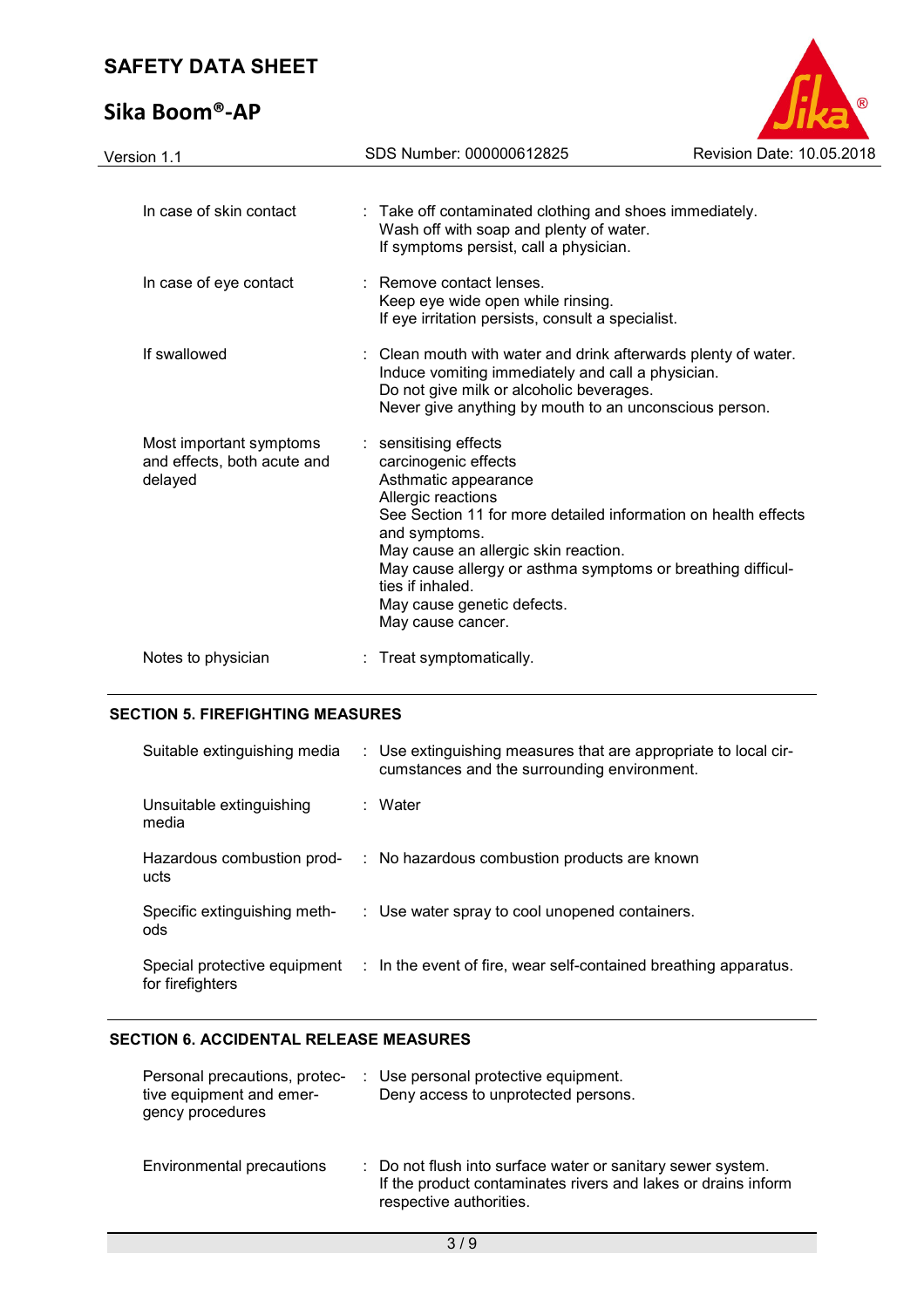# **Sika Boom®-AP**



| Version 1.1                                                       | SDS Number: 000000612825                                                                                                                                                                                                                                                                                                                                     | Revision Date: 10.05.2018 |
|-------------------------------------------------------------------|--------------------------------------------------------------------------------------------------------------------------------------------------------------------------------------------------------------------------------------------------------------------------------------------------------------------------------------------------------------|---------------------------|
|                                                                   |                                                                                                                                                                                                                                                                                                                                                              |                           |
| In case of skin contact                                           | : Take off contaminated clothing and shoes immediately.<br>Wash off with soap and plenty of water.<br>If symptoms persist, call a physician.                                                                                                                                                                                                                 |                           |
| In case of eye contact                                            | : Remove contact lenses.<br>Keep eye wide open while rinsing.<br>If eye irritation persists, consult a specialist.                                                                                                                                                                                                                                           |                           |
| If swallowed                                                      | : Clean mouth with water and drink afterwards plenty of water.<br>Induce vomiting immediately and call a physician.<br>Do not give milk or alcoholic beverages.<br>Never give anything by mouth to an unconscious person.                                                                                                                                    |                           |
| Most important symptoms<br>and effects, both acute and<br>delayed | : sensitising effects<br>carcinogenic effects<br>Asthmatic appearance<br>Allergic reactions<br>See Section 11 for more detailed information on health effects<br>and symptoms.<br>May cause an allergic skin reaction.<br>May cause allergy or asthma symptoms or breathing difficul-<br>ties if inhaled.<br>May cause genetic defects.<br>May cause cancer. |                           |
| Notes to physician                                                | : Treat symptomatically.                                                                                                                                                                                                                                                                                                                                     |                           |

#### **SECTION 5. FIREFIGHTING MEASURES**

| Suitable extinguishing media        | : Use extinguishing measures that are appropriate to local cir-<br>cumstances and the surrounding environment. |
|-------------------------------------|----------------------------------------------------------------------------------------------------------------|
| Unsuitable extinguishing<br>media   | : Water                                                                                                        |
| Hazardous combustion prod-<br>ucts  | : No hazardous combustion products are known                                                                   |
| Specific extinguishing meth-<br>ods | : Use water spray to cool unopened containers.                                                                 |
| for firefighters                    | Special protective equipment : In the event of fire, wear self-contained breathing apparatus.                  |

#### **SECTION 6. ACCIDENTAL RELEASE MEASURES**

| Personal precautions, protec-<br>tive equipment and emer-<br>gency procedures | : Use personal protective equipment.<br>Deny access to unprotected persons.                                                                             |
|-------------------------------------------------------------------------------|---------------------------------------------------------------------------------------------------------------------------------------------------------|
| Environmental precautions                                                     | : Do not flush into surface water or sanitary sewer system.<br>If the product contaminates rivers and lakes or drains inform<br>respective authorities. |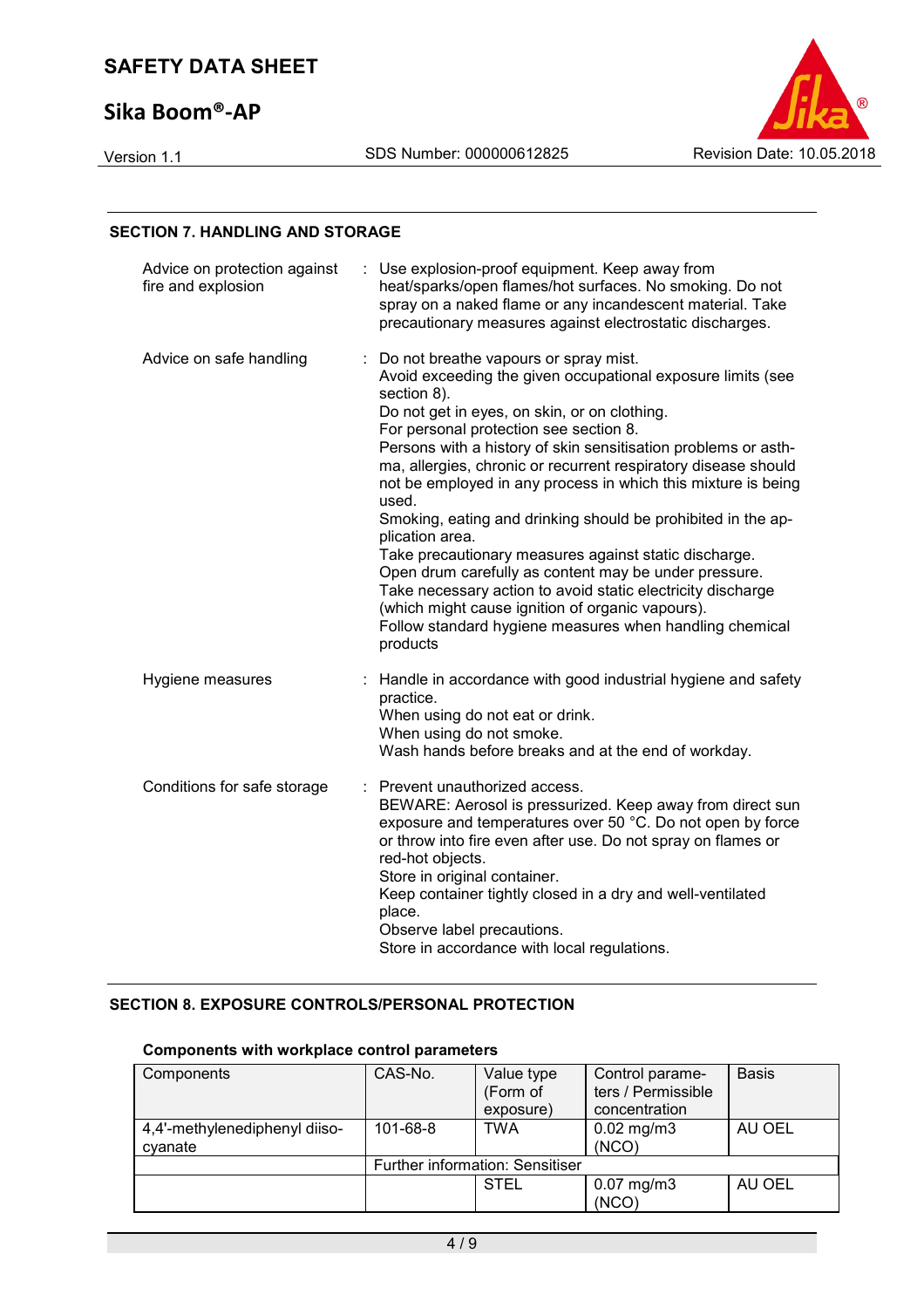## **Sika Boom®-AP**



#### **SECTION 7. HANDLING AND STORAGE**

| Advice on protection against<br>fire and explosion | Use explosion-proof equipment. Keep away from<br>heat/sparks/open flames/hot surfaces. No smoking. Do not<br>spray on a naked flame or any incandescent material. Take<br>precautionary measures against electrostatic discharges.                                                                                                                                                                                                                                                                                                                                                                                                                                                                                                                                                                                         |
|----------------------------------------------------|----------------------------------------------------------------------------------------------------------------------------------------------------------------------------------------------------------------------------------------------------------------------------------------------------------------------------------------------------------------------------------------------------------------------------------------------------------------------------------------------------------------------------------------------------------------------------------------------------------------------------------------------------------------------------------------------------------------------------------------------------------------------------------------------------------------------------|
| Advice on safe handling                            | Do not breathe vapours or spray mist.<br>Avoid exceeding the given occupational exposure limits (see<br>section 8).<br>Do not get in eyes, on skin, or on clothing.<br>For personal protection see section 8.<br>Persons with a history of skin sensitisation problems or asth-<br>ma, allergies, chronic or recurrent respiratory disease should<br>not be employed in any process in which this mixture is being<br>used.<br>Smoking, eating and drinking should be prohibited in the ap-<br>plication area.<br>Take precautionary measures against static discharge.<br>Open drum carefully as content may be under pressure.<br>Take necessary action to avoid static electricity discharge<br>(which might cause ignition of organic vapours).<br>Follow standard hygiene measures when handling chemical<br>products |
| Hygiene measures                                   | Handle in accordance with good industrial hygiene and safety<br>practice.<br>When using do not eat or drink.<br>When using do not smoke.<br>Wash hands before breaks and at the end of workday.                                                                                                                                                                                                                                                                                                                                                                                                                                                                                                                                                                                                                            |
| Conditions for safe storage                        | Prevent unauthorized access.<br>BEWARE: Aerosol is pressurized. Keep away from direct sun<br>exposure and temperatures over 50 °C. Do not open by force<br>or throw into fire even after use. Do not spray on flames or<br>red-hot objects.<br>Store in original container.<br>Keep container tightly closed in a dry and well-ventilated<br>place.<br>Observe label precautions.<br>Store in accordance with local regulations.                                                                                                                                                                                                                                                                                                                                                                                           |

#### **SECTION 8. EXPOSURE CONTROLS/PERSONAL PROTECTION**

#### Components Components CAS-No. Value type (Form of exposure) Control parameters / Permissible concentration Basis 4,4'-methylenediphenyl diisocyanate 101-68-8 | TWA | 0.02 mg/m3 (NCO) AU OEL Further information: Sensitiser  $0.07$  mg/m3 (NCO) AU OEL

#### **Components with workplace control parameters**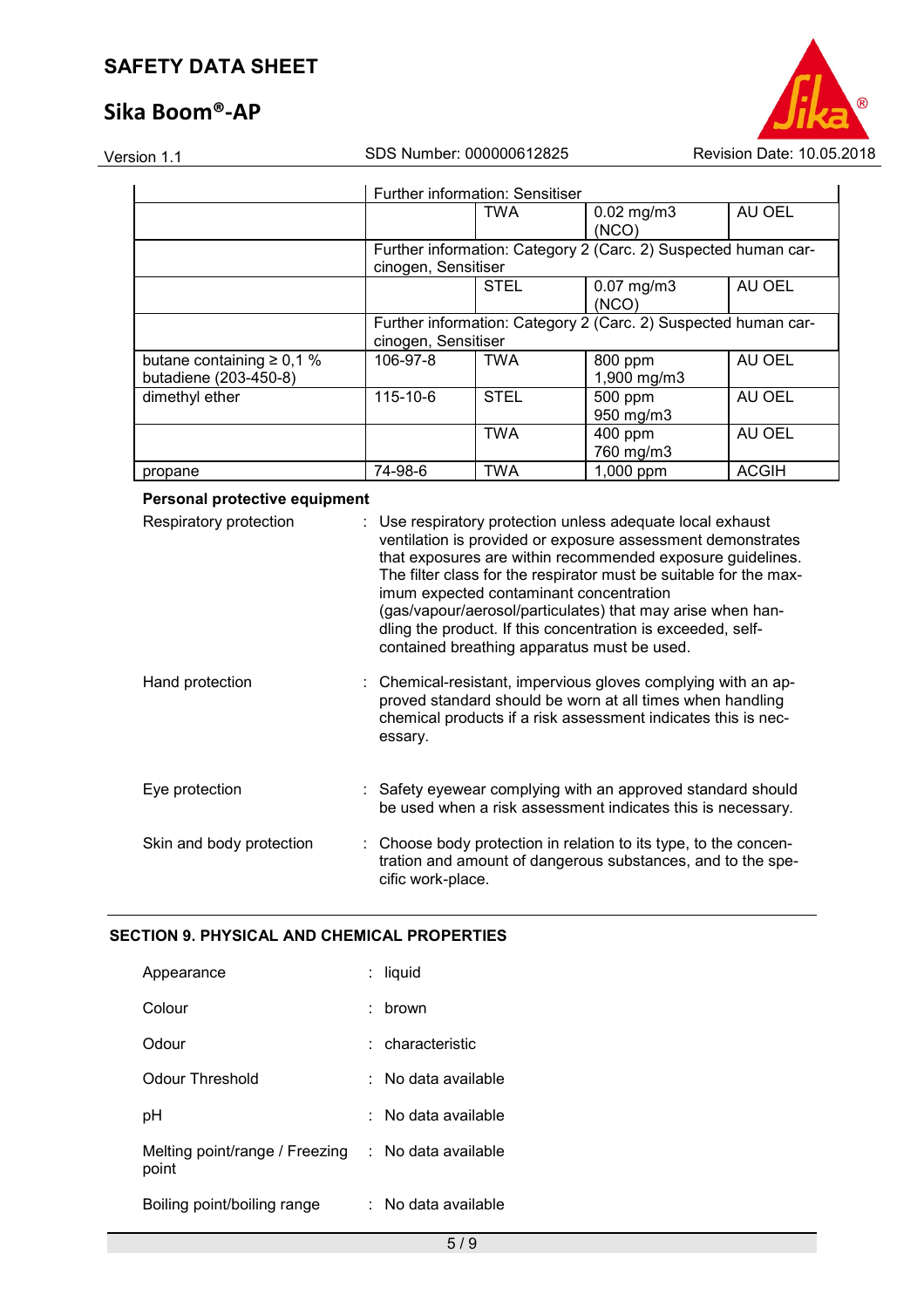## **Sika Boom®-AP**



|                                                         |                                                                                       | Further information: Sensitiser                                                       |                          |              |  |  |  |
|---------------------------------------------------------|---------------------------------------------------------------------------------------|---------------------------------------------------------------------------------------|--------------------------|--------------|--|--|--|
|                                                         |                                                                                       | <b>TWA</b>                                                                            | $0.02$ mg/m3<br>(NCO)    | AU OEL       |  |  |  |
|                                                         |                                                                                       | Further information: Category 2 (Carc. 2) Suspected human car-<br>cinogen, Sensitiser |                          |              |  |  |  |
|                                                         |                                                                                       | <b>STEL</b>                                                                           | $0.07$ mg/m $3$<br>(NCO) | AU OEL       |  |  |  |
|                                                         | Further information: Category 2 (Carc. 2) Suspected human car-<br>cinogen, Sensitiser |                                                                                       |                          |              |  |  |  |
| butane containing $\geq 0.1$ %<br>butadiene (203-450-8) | 106-97-8                                                                              | <b>TWA</b>                                                                            | 800 ppm<br>1,900 mg/m3   | AU OEL       |  |  |  |
| dimethyl ether                                          | 115-10-6                                                                              | <b>STEL</b>                                                                           | 500 ppm<br>950 mg/m3     | AU OEL       |  |  |  |
|                                                         |                                                                                       | <b>TWA</b>                                                                            | 400 ppm<br>760 mg/m3     | AU OEL       |  |  |  |
| propane                                                 | 74-98-6                                                                               | <b>TWA</b>                                                                            | 1,000 ppm                | <b>ACGIH</b> |  |  |  |

#### **Personal protective equipment**

| Respiratory protection   | : Use respiratory protection unless adequate local exhaust<br>ventilation is provided or exposure assessment demonstrates<br>that exposures are within recommended exposure guidelines.<br>The filter class for the respirator must be suitable for the max-<br>imum expected contaminant concentration<br>(gas/vapour/aerosol/particulates) that may arise when han-<br>dling the product. If this concentration is exceeded, self-<br>contained breathing apparatus must be used. |
|--------------------------|-------------------------------------------------------------------------------------------------------------------------------------------------------------------------------------------------------------------------------------------------------------------------------------------------------------------------------------------------------------------------------------------------------------------------------------------------------------------------------------|
| Hand protection          | : Chemical-resistant, impervious gloves complying with an ap-<br>proved standard should be worn at all times when handling<br>chemical products if a risk assessment indicates this is nec-<br>essary.                                                                                                                                                                                                                                                                              |
| Eye protection           | : Safety eyewear complying with an approved standard should<br>be used when a risk assessment indicates this is necessary.                                                                                                                                                                                                                                                                                                                                                          |
| Skin and body protection | : Choose body protection in relation to its type, to the concen-<br>tration and amount of dangerous substances, and to the spe-<br>cific work-place.                                                                                                                                                                                                                                                                                                                                |

#### **SECTION 9. PHYSICAL AND CHEMICAL PROPERTIES**

| Appearance                              | liquid              |
|-----------------------------------------|---------------------|
| Colour                                  | brown               |
| Odour                                   | : characteristic    |
| Odour Threshold                         | No data available   |
| рH                                      | No data available   |
| Melting point/range / Freezing<br>point | : No data available |
| Boiling point/boiling range             | No data available   |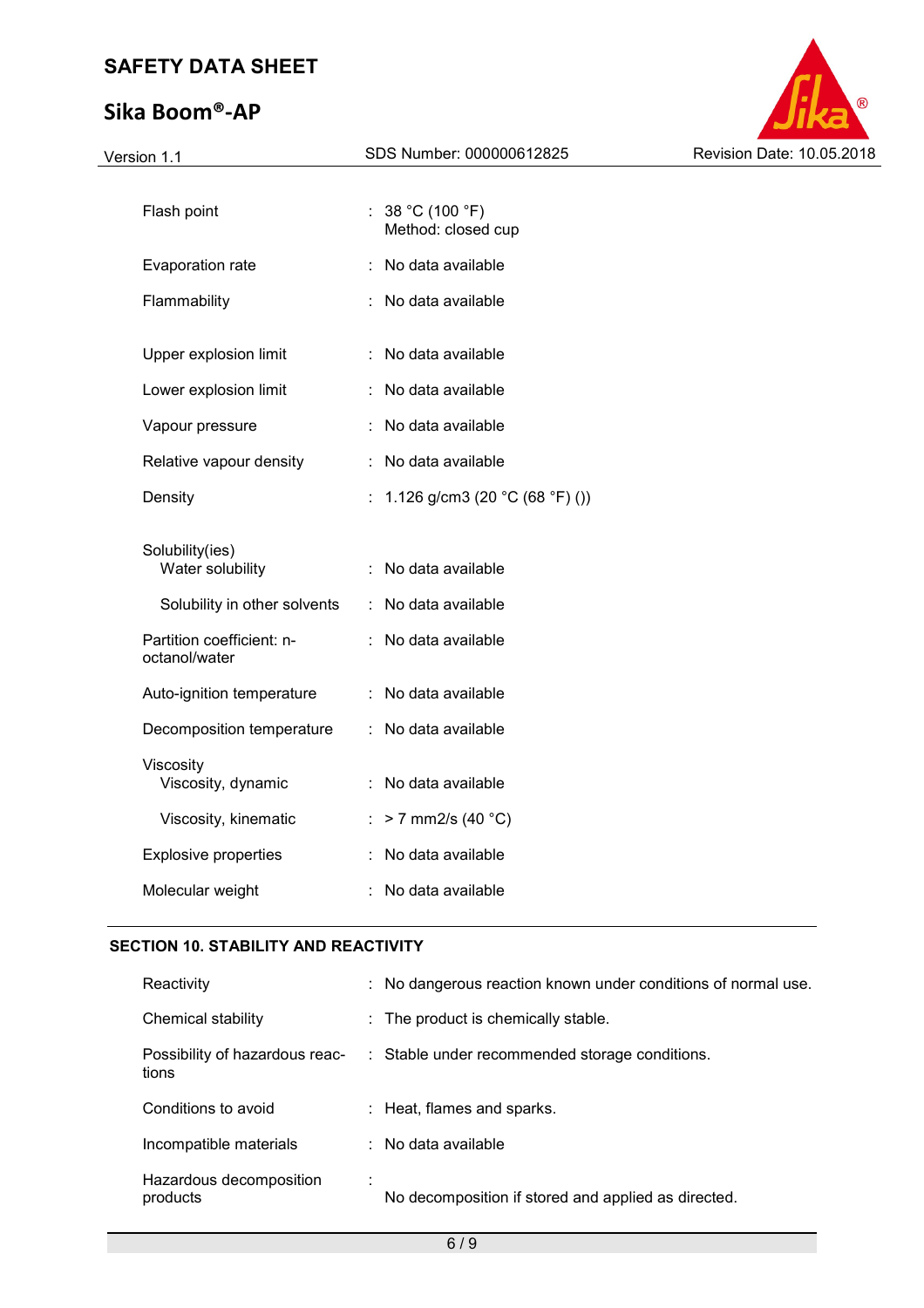# **Sika Boom®-AP**



| Version 1.1                                | SDS Number: 000000612825                             | Revision Date: 10.05.2018 |
|--------------------------------------------|------------------------------------------------------|---------------------------|
| Flash point                                | : $38 °C (100 °F)$                                   |                           |
| Evaporation rate                           | Method: closed cup<br>: No data available            |                           |
| Flammability                               | : No data available                                  |                           |
| Upper explosion limit                      | : No data available                                  |                           |
| Lower explosion limit                      | : No data available                                  |                           |
| Vapour pressure                            | : No data available                                  |                           |
| Relative vapour density                    | : No data available                                  |                           |
| Density                                    | : 1.126 g/cm3 (20 $^{\circ}$ C (68 $^{\circ}$ F) ()) |                           |
| Solubility(ies)<br>Water solubility        | : No data available                                  |                           |
| Solubility in other solvents               | : No data available                                  |                           |
| Partition coefficient: n-<br>octanol/water | : No data available                                  |                           |
| Auto-ignition temperature                  | : No data available                                  |                           |
| Decomposition temperature                  | : No data available                                  |                           |
| Viscosity<br>Viscosity, dynamic            | : No data available                                  |                           |
| Viscosity, kinematic                       | : > 7 mm2/s (40 $^{\circ}$ C)                        |                           |
| <b>Explosive properties</b>                | : No data available                                  |                           |
| Molecular weight                           | : No data available                                  |                           |
|                                            |                                                      |                           |

## **SECTION 10. STABILITY AND REACTIVITY**

| Reactivity                          | : No dangerous reaction known under conditions of normal use.                 |
|-------------------------------------|-------------------------------------------------------------------------------|
| Chemical stability                  | $\therefore$ The product is chemically stable.                                |
| tions                               | Possibility of hazardous reac- : Stable under recommended storage conditions. |
| Conditions to avoid                 | : Heat, flames and sparks.                                                    |
| Incompatible materials              | $\therefore$ No data available                                                |
| Hazardous decomposition<br>products | No decomposition if stored and applied as directed.                           |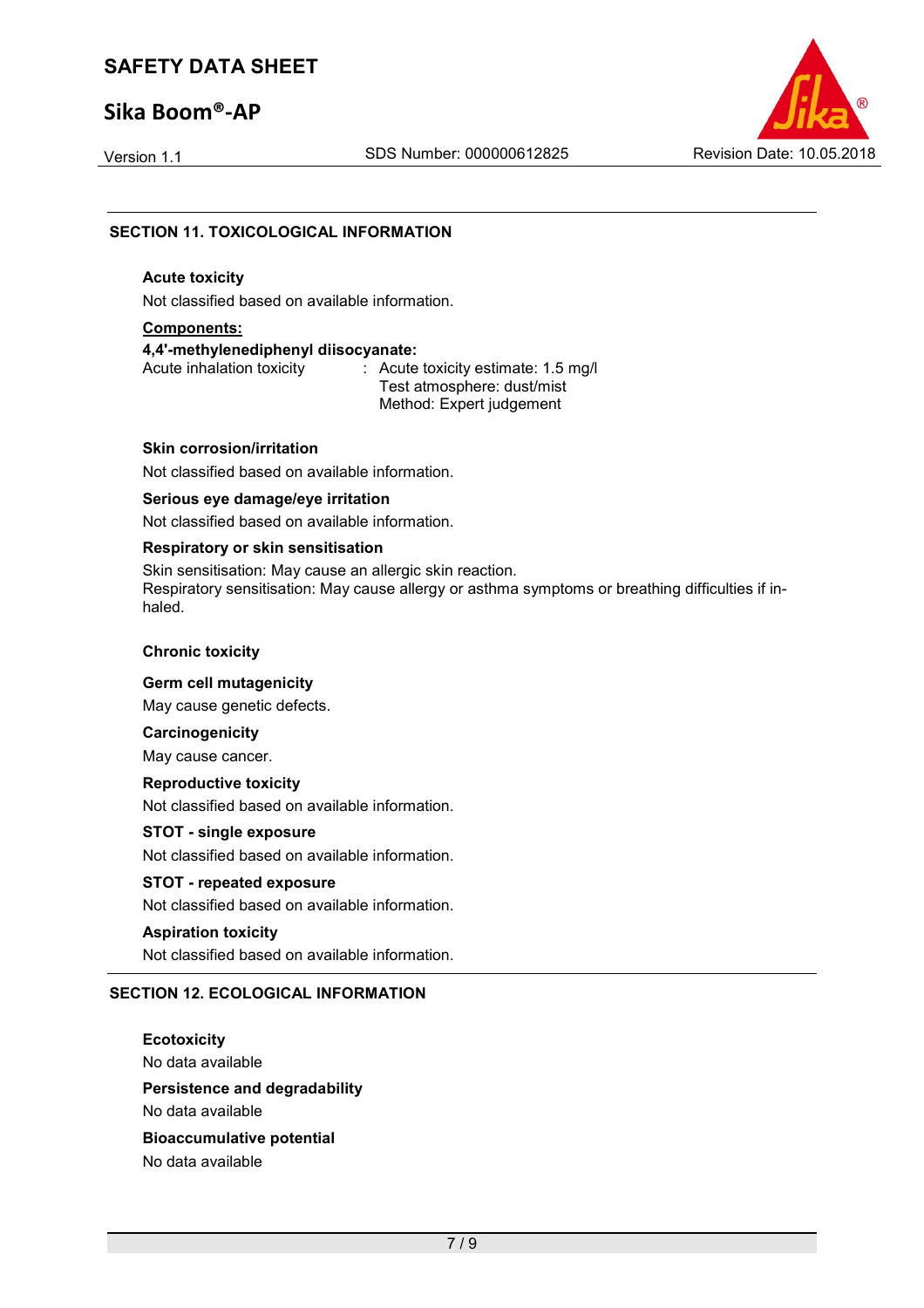## **Sika Boom®-AP**



#### **SECTION 11. TOXICOLOGICAL INFORMATION**

#### **Acute toxicity**

Not classified based on available information.

#### **Components:**

**4,4'-methylenediphenyl diisocyanate:** 

: Acute toxicity estimate: 1.5 mg/l Test atmosphere: dust/mist Method: Expert judgement

#### **Skin corrosion/irritation**

Not classified based on available information.

#### **Serious eye damage/eye irritation**

Not classified based on available information.

#### **Respiratory or skin sensitisation**

Skin sensitisation: May cause an allergic skin reaction. Respiratory sensitisation: May cause allergy or asthma symptoms or breathing difficulties if inhaled.

#### **Chronic toxicity**

**Germ cell mutagenicity** 

May cause genetic defects.

**Carcinogenicity** 

May cause cancer.

#### **Reproductive toxicity**

Not classified based on available information.

#### **STOT - single exposure**

Not classified based on available information.

#### **STOT - repeated exposure**

Not classified based on available information.

#### **Aspiration toxicity**

Not classified based on available information.

#### **SECTION 12. ECOLOGICAL INFORMATION**

**Ecotoxicity**  No data available **Persistence and degradability**  No data available **Bioaccumulative potential**  No data available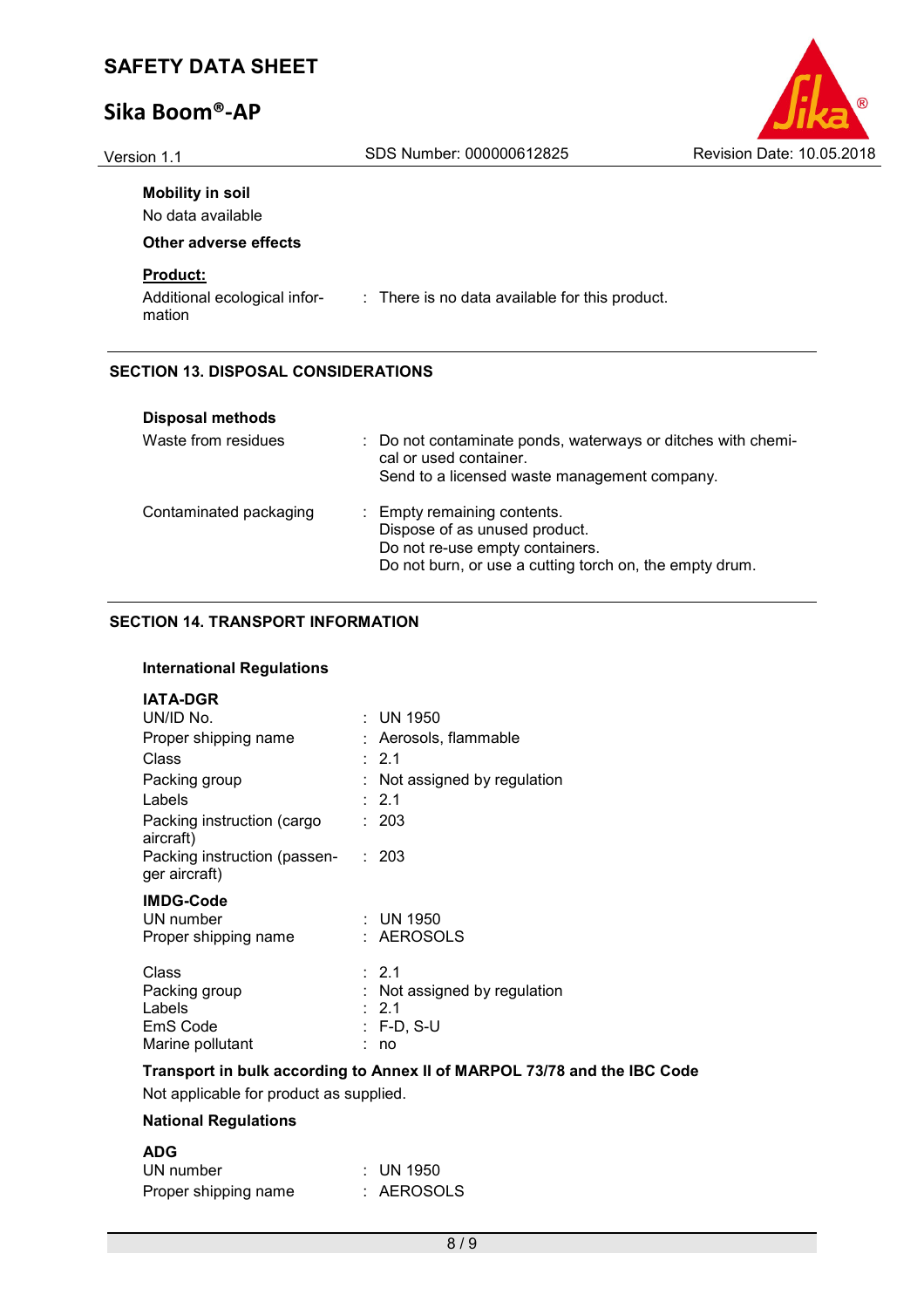## **Sika Boom®-AP**

| (R                        |  |
|---------------------------|--|
| Revision Date: 10.05.2018 |  |

| SDS Number: 000000612825                       | Revision Date: 10.05.2018                  |
|------------------------------------------------|--------------------------------------------|
|                                                |                                            |
|                                                |                                            |
|                                                |                                            |
|                                                |                                            |
| : There is no data available for this product. |                                            |
|                                                |                                            |
|                                                | <b>SECTION 13. DISPOSAL CONSIDERATIONS</b> |

| <b>Disposal methods</b> |                                                                                                                                                            |
|-------------------------|------------------------------------------------------------------------------------------------------------------------------------------------------------|
| Waste from residues     | : Do not contaminate ponds, waterways or ditches with chemi-<br>cal or used container.<br>Send to a licensed waste management company.                     |
| Contaminated packaging  | : Empty remaining contents.<br>Dispose of as unused product.<br>Do not re-use empty containers.<br>Do not burn, or use a cutting torch on, the empty drum. |

#### **SECTION 14. TRANSPORT INFORMATION**

#### **International Regulations**

#### **IATA-DGR**

| UN/ID No.                                             |    | : UN 1950                                                     |
|-------------------------------------------------------|----|---------------------------------------------------------------|
| Proper shipping name                                  |    | Aerosols, flammable                                           |
| Class                                                 |    | $\therefore$ 2.1                                              |
| Packing group                                         |    | Not assigned by regulation                                    |
| Labels                                                |    | : 2.1                                                         |
| Packing instruction (cargo<br>aircraft)               |    | : 203                                                         |
| Packing instruction (passen-<br>ger aircraft)         |    | : 203                                                         |
| <b>IMDG-Code</b><br>UN number<br>Proper shipping name |    | : UN 1950<br>: AEROSOLS                                       |
| Class<br>Packing group<br>Labels<br>EmS Code          | ÷. | : 2.1<br>Not assigned by regulation<br>2.1<br><b>F-D, S-U</b> |
| Marine pollutant                                      |    | no                                                            |

#### **Transport in bulk according to Annex II of MARPOL 73/78 and the IBC Code**

Not applicable for product as supplied.

#### **National Regulations**

| UN number            | $\therefore$ UN 1950 |
|----------------------|----------------------|
| Proper shipping name | : AEROSOLS           |